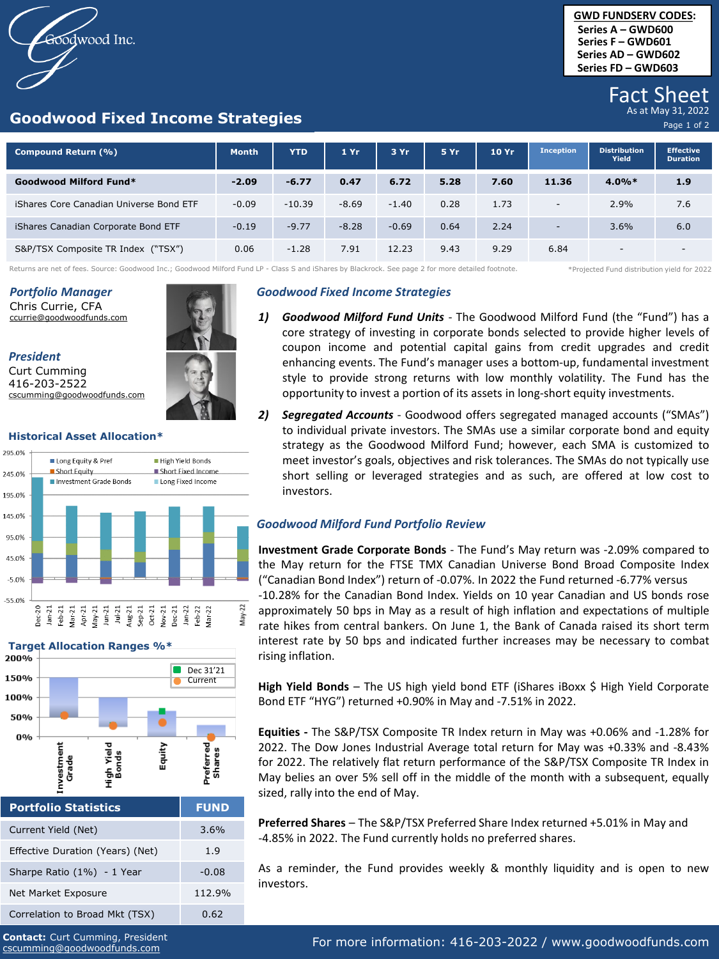oodwood Inc.

### **Goodwood Fixed Income Strategies**

## Fact Sheet

Page 1 of 2

| Compound Return (%)                     | <b>Month</b> | <b>YTD</b> | 1Yr     | 3 Yr    | 5 Yr | 10 Yr | <b>Inception</b>         | <b>Distribution</b><br>Yield | <b>Effective</b><br><b>Duration</b> |
|-----------------------------------------|--------------|------------|---------|---------|------|-------|--------------------------|------------------------------|-------------------------------------|
| Goodwood Milford Fund*                  | $-2.09$      | $-6.77$    | 0.47    | 6.72    | 5.28 | 7.60  | 11.36                    | $4.0\%*$                     | 1.9                                 |
| iShares Core Canadian Universe Bond ETF | $-0.09$      | $-10.39$   | $-8.69$ | $-1.40$ | 0.28 | 1.73  | $\sim$                   | 2.9%                         | 7.6                                 |
| iShares Canadian Corporate Bond ETF     | $-0.19$      | $-9.77$    | $-8.28$ | $-0.69$ | 0.64 | 2.24  | $\overline{\phantom{a}}$ | 3.6%                         | 6.0                                 |
| S&P/TSX Composite TR Index ("TSX")      | 0.06         | $-1.28$    | 7.91    | 12.23   | 9.43 | 9.29  | 6.84                     | $\overline{\phantom{0}}$     | $\overline{\phantom{0}}$            |

Returns are net of fees. Source: Goodwood Inc.; Goodwood Milford Fund LP - Class S and iShares by Blackrock. See page 2 for more detailed footnote. \*\*Projected Fund distribution yield for 2022

### *Portfolio Manager*

Chris Currie, CFA ccurrie@goodwoodfunds.com

*President*

Curt Cumming 416-203-2522 cscumming@goodwoodfunds.com

### **Historical Asset Allocation\***





| <b>Portfolio Statistics</b>      | <b>FUND</b> |  |  |
|----------------------------------|-------------|--|--|
| Current Yield (Net)              | 3.6%        |  |  |
| Effective Duration (Years) (Net) | 1.9         |  |  |
| Sharpe Ratio (1%) - 1 Year       | $-0.08$     |  |  |
| Net Market Exposure              | 112.9%      |  |  |
| Correlation to Broad Mkt (TSX)   | 0.62        |  |  |

*Goodwood Fixed Income Strategies*

- *1) Goodwood Milford Fund Units* The Goodwood Milford Fund (the "Fund") has a core strategy of investing in corporate bonds selected to provide higher levels of coupon income and potential capital gains from credit upgrades and credit enhancing events. The Fund's manager uses a bottom-up, fundamental investment style to provide strong returns with low monthly volatility. The Fund has the opportunity to invest a portion of its assets in long-short equity investments.
- *2) Segregated Accounts* Goodwood offers segregated managed accounts ("SMAs") to individual private investors. The SMAs use a similar corporate bond and equity strategy as the Goodwood Milford Fund; however, each SMA is customized to meet investor's goals, objectives and risk tolerances. The SMAs do not typically use short selling or leveraged strategies and as such, are offered at low cost to investors.

### *Goodwood Milford Fund Portfolio Review*

**Investment Grade Corporate Bonds** - The Fund's May return was -2.09% compared to the May return for the FTSE TMX Canadian Universe Bond Broad Composite Index ("Canadian Bond Index") return of -0.07%. In 2022 the Fund returned -6.77% versus -10.28% for the Canadian Bond Index. Yields on 10 year Canadian and US bonds rose approximately 50 bps in May as a result of high inflation and expectations of multiple rate hikes from central bankers. On June 1, the Bank of Canada raised its short term interest rate by 50 bps and indicated further increases may be necessary to combat rising inflation.

**High Yield Bonds** – The US high yield bond ETF (iShares iBoxx \$ High Yield Corporate Bond ETF "HYG") returned +0.90% in May and -7.51% in 2022.

**Equities -** The S&P/TSX Composite TR Index return in May was +0.06% and -1.28% for 2022. The Dow Jones Industrial Average total return for May was +0.33% and -8.43% for 2022. The relatively flat return performance of the S&P/TSX Composite TR Index in May belies an over 5% sell off in the middle of the month with a subsequent, equally sized, rally into the end of May.

**Preferred Shares** – The S&P/TSX Preferred Share Index returned +5.01% in May and -4.85% in 2022. The Fund currently holds no preferred shares.

As a reminder, the Fund provides weekly & monthly liquidity and is open to new investors.

**Contact:** Curt Cumming, President cscumming@goodwoodfunds.com